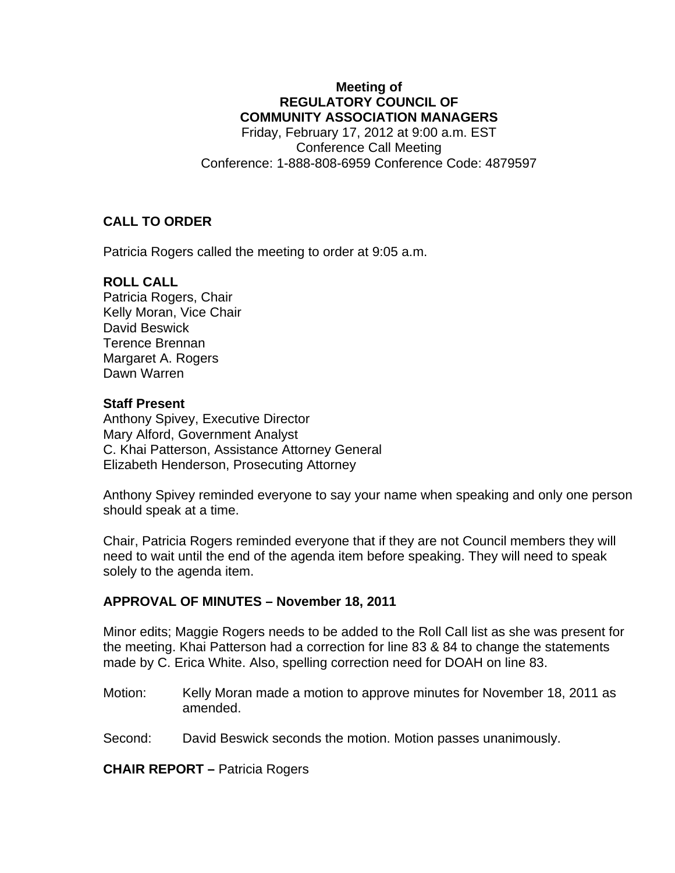### **Meeting of REGULATORY COUNCIL OF COMMUNITY ASSOCIATION MANAGERS**

Friday, February 17, 2012 at 9:00 a.m. EST Conference Call Meeting Conference: 1-888-808-6959 Conference Code: 4879597

## **CALL TO ORDER**

Patricia Rogers called the meeting to order at 9:05 a.m.

### **ROLL CALL**

Patricia Rogers, Chair Kelly Moran, Vice Chair David Beswick Terence Brennan Margaret A. Rogers Dawn Warren

#### **Staff Present**

Anthony Spivey, Executive Director Mary Alford, Government Analyst C. Khai Patterson, Assistance Attorney General Elizabeth Henderson, Prosecuting Attorney

Anthony Spivey reminded everyone to say your name when speaking and only one person should speak at a time.

Chair, Patricia Rogers reminded everyone that if they are not Council members they will need to wait until the end of the agenda item before speaking. They will need to speak solely to the agenda item.

### **APPROVAL OF MINUTES – November 18, 2011**

Minor edits; Maggie Rogers needs to be added to the Roll Call list as she was present for the meeting. Khai Patterson had a correction for line 83 & 84 to change the statements made by C. Erica White. Also, spelling correction need for DOAH on line 83.

- Motion: Kelly Moran made a motion to approve minutes for November 18, 2011 as amended.
- Second: David Beswick seconds the motion. Motion passes unanimously.

**CHAIR REPORT –** Patricia Rogers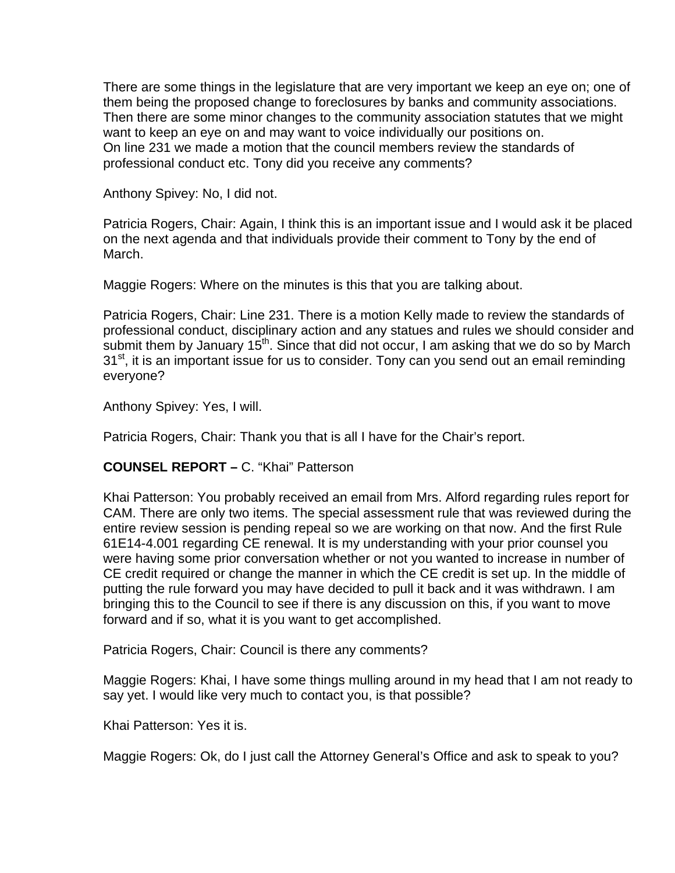There are some things in the legislature that are very important we keep an eye on; one of them being the proposed change to foreclosures by banks and community associations. Then there are some minor changes to the community association statutes that we might want to keep an eye on and may want to voice individually our positions on. On line 231 we made a motion that the council members review the standards of professional conduct etc. Tony did you receive any comments?

Anthony Spivey: No, I did not.

Patricia Rogers, Chair: Again, I think this is an important issue and I would ask it be placed on the next agenda and that individuals provide their comment to Tony by the end of March.

Maggie Rogers: Where on the minutes is this that you are talking about.

Patricia Rogers, Chair: Line 231. There is a motion Kelly made to review the standards of professional conduct, disciplinary action and any statues and rules we should consider and submit them by January  $15<sup>th</sup>$ . Since that did not occur, I am asking that we do so by March 31<sup>st</sup>, it is an important issue for us to consider. Tony can you send out an email reminding everyone?

Anthony Spivey: Yes, I will.

Patricia Rogers, Chair: Thank you that is all I have for the Chair's report.

## **COUNSEL REPORT –** C. "Khai" Patterson

Khai Patterson: You probably received an email from Mrs. Alford regarding rules report for CAM. There are only two items. The special assessment rule that was reviewed during the entire review session is pending repeal so we are working on that now. And the first Rule 61E14-4.001 regarding CE renewal. It is my understanding with your prior counsel you were having some prior conversation whether or not you wanted to increase in number of CE credit required or change the manner in which the CE credit is set up. In the middle of putting the rule forward you may have decided to pull it back and it was withdrawn. I am bringing this to the Council to see if there is any discussion on this, if you want to move forward and if so, what it is you want to get accomplished.

Patricia Rogers, Chair: Council is there any comments?

Maggie Rogers: Khai, I have some things mulling around in my head that I am not ready to say yet. I would like very much to contact you, is that possible?

Khai Patterson: Yes it is.

Maggie Rogers: Ok, do I just call the Attorney General's Office and ask to speak to you?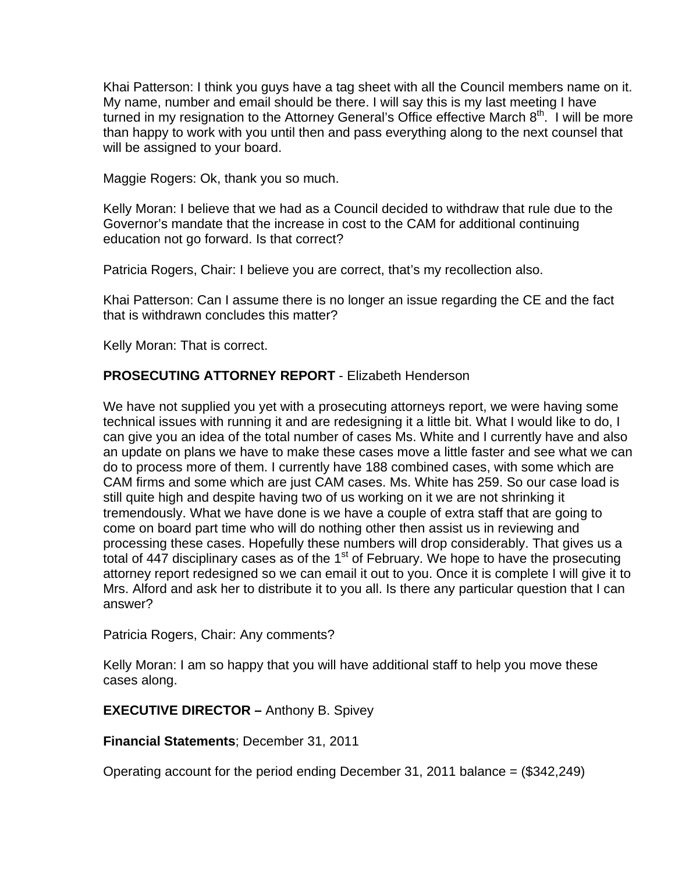Khai Patterson: I think you guys have a tag sheet with all the Council members name on it. My name, number and email should be there. I will say this is my last meeting I have turned in my resignation to the Attorney General's Office effective March  $8<sup>th</sup>$ . I will be more than happy to work with you until then and pass everything along to the next counsel that will be assigned to your board.

Maggie Rogers: Ok, thank you so much.

Kelly Moran: I believe that we had as a Council decided to withdraw that rule due to the Governor's mandate that the increase in cost to the CAM for additional continuing education not go forward. Is that correct?

Patricia Rogers, Chair: I believe you are correct, that's my recollection also.

Khai Patterson: Can I assume there is no longer an issue regarding the CE and the fact that is withdrawn concludes this matter?

Kelly Moran: That is correct.

## **PROSECUTING ATTORNEY REPORT** - Elizabeth Henderson

We have not supplied you yet with a prosecuting attorneys report, we were having some technical issues with running it and are redesigning it a little bit. What I would like to do, I can give you an idea of the total number of cases Ms. White and I currently have and also an update on plans we have to make these cases move a little faster and see what we can do to process more of them. I currently have 188 combined cases, with some which are CAM firms and some which are just CAM cases. Ms. White has 259. So our case load is still quite high and despite having two of us working on it we are not shrinking it tremendously. What we have done is we have a couple of extra staff that are going to come on board part time who will do nothing other then assist us in reviewing and processing these cases. Hopefully these numbers will drop considerably. That gives us a total of  $447$  disciplinary cases as of the  $1<sup>st</sup>$  of February. We hope to have the prosecuting attorney report redesigned so we can email it out to you. Once it is complete I will give it to Mrs. Alford and ask her to distribute it to you all. Is there any particular question that I can answer?

Patricia Rogers, Chair: Any comments?

Kelly Moran: I am so happy that you will have additional staff to help you move these cases along.

**EXECUTIVE DIRECTOR –** Anthony B. Spivey

**Financial Statements**; December 31, 2011

Operating account for the period ending December 31, 2011 balance = (\$342,249)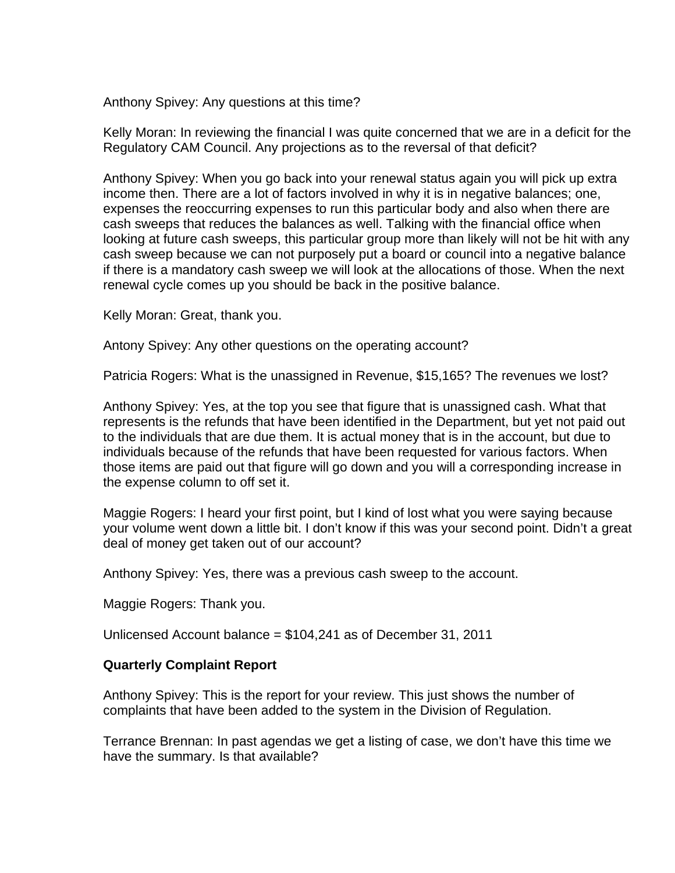Anthony Spivey: Any questions at this time?

Kelly Moran: In reviewing the financial I was quite concerned that we are in a deficit for the Regulatory CAM Council. Any projections as to the reversal of that deficit?

Anthony Spivey: When you go back into your renewal status again you will pick up extra income then. There are a lot of factors involved in why it is in negative balances; one, expenses the reoccurring expenses to run this particular body and also when there are cash sweeps that reduces the balances as well. Talking with the financial office when looking at future cash sweeps, this particular group more than likely will not be hit with any cash sweep because we can not purposely put a board or council into a negative balance if there is a mandatory cash sweep we will look at the allocations of those. When the next renewal cycle comes up you should be back in the positive balance.

Kelly Moran: Great, thank you.

Antony Spivey: Any other questions on the operating account?

Patricia Rogers: What is the unassigned in Revenue, \$15,165? The revenues we lost?

Anthony Spivey: Yes, at the top you see that figure that is unassigned cash. What that represents is the refunds that have been identified in the Department, but yet not paid out to the individuals that are due them. It is actual money that is in the account, but due to individuals because of the refunds that have been requested for various factors. When those items are paid out that figure will go down and you will a corresponding increase in the expense column to off set it.

Maggie Rogers: I heard your first point, but I kind of lost what you were saying because your volume went down a little bit. I don't know if this was your second point. Didn't a great deal of money get taken out of our account?

Anthony Spivey: Yes, there was a previous cash sweep to the account.

Maggie Rogers: Thank you.

Unlicensed Account balance = \$104,241 as of December 31, 2011

### **Quarterly Complaint Report**

Anthony Spivey: This is the report for your review. This just shows the number of complaints that have been added to the system in the Division of Regulation.

Terrance Brennan: In past agendas we get a listing of case, we don't have this time we have the summary. Is that available?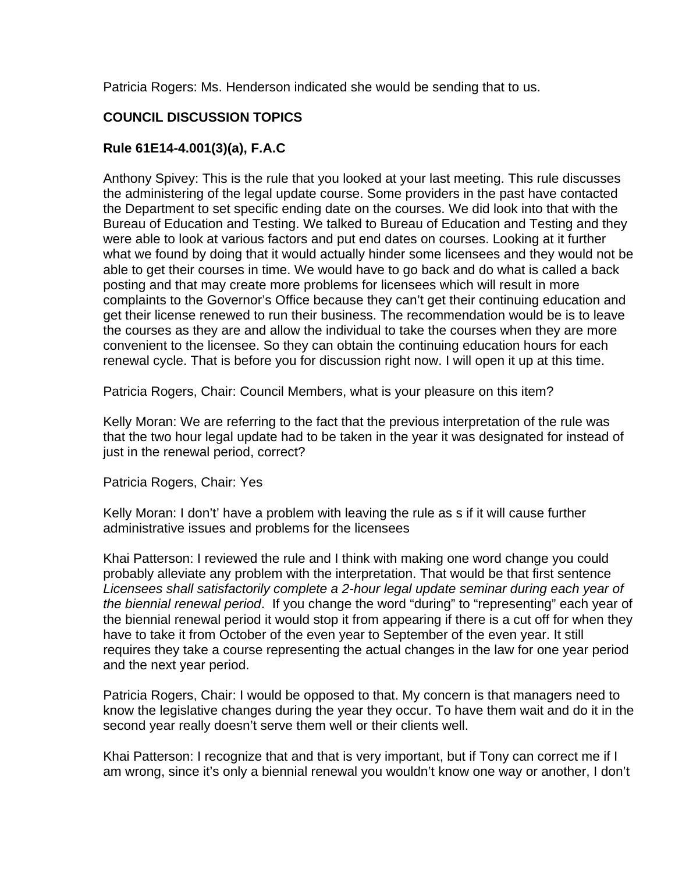Patricia Rogers: Ms. Henderson indicated she would be sending that to us.

# **COUNCIL DISCUSSION TOPICS**

# **Rule 61E14-4.001(3)(a), F.A.C**

Anthony Spivey: This is the rule that you looked at your last meeting. This rule discusses the administering of the legal update course. Some providers in the past have contacted the Department to set specific ending date on the courses. We did look into that with the Bureau of Education and Testing. We talked to Bureau of Education and Testing and they were able to look at various factors and put end dates on courses. Looking at it further what we found by doing that it would actually hinder some licensees and they would not be able to get their courses in time. We would have to go back and do what is called a back posting and that may create more problems for licensees which will result in more complaints to the Governor's Office because they can't get their continuing education and get their license renewed to run their business. The recommendation would be is to leave the courses as they are and allow the individual to take the courses when they are more convenient to the licensee. So they can obtain the continuing education hours for each renewal cycle. That is before you for discussion right now. I will open it up at this time.

Patricia Rogers, Chair: Council Members, what is your pleasure on this item?

Kelly Moran: We are referring to the fact that the previous interpretation of the rule was that the two hour legal update had to be taken in the year it was designated for instead of just in the renewal period, correct?

Patricia Rogers, Chair: Yes

Kelly Moran: I don't' have a problem with leaving the rule as s if it will cause further administrative issues and problems for the licensees

Khai Patterson: I reviewed the rule and I think with making one word change you could probably alleviate any problem with the interpretation. That would be that first sentence *Licensees shall satisfactorily complete a 2-hour legal update seminar during each year of the biennial renewal period*. If you change the word "during" to "representing" each year of the biennial renewal period it would stop it from appearing if there is a cut off for when they have to take it from October of the even year to September of the even year. It still requires they take a course representing the actual changes in the law for one year period and the next year period.

Patricia Rogers, Chair: I would be opposed to that. My concern is that managers need to know the legislative changes during the year they occur. To have them wait and do it in the second year really doesn't serve them well or their clients well.

Khai Patterson: I recognize that and that is very important, but if Tony can correct me if I am wrong, since it's only a biennial renewal you wouldn't know one way or another, I don't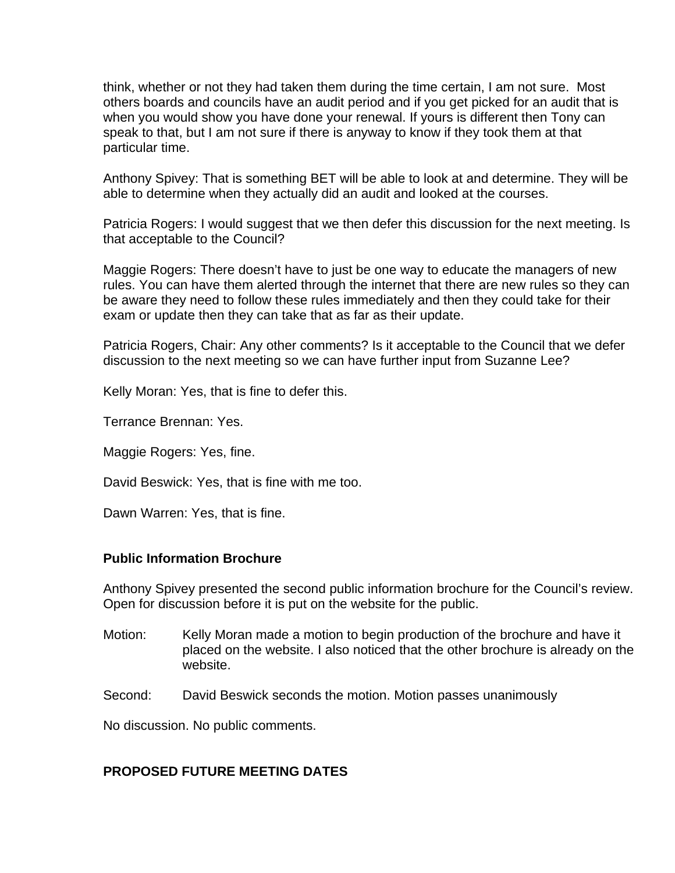think, whether or not they had taken them during the time certain, I am not sure. Most others boards and councils have an audit period and if you get picked for an audit that is when you would show you have done your renewal. If yours is different then Tony can speak to that, but I am not sure if there is anyway to know if they took them at that particular time.

Anthony Spivey: That is something BET will be able to look at and determine. They will be able to determine when they actually did an audit and looked at the courses.

Patricia Rogers: I would suggest that we then defer this discussion for the next meeting. Is that acceptable to the Council?

Maggie Rogers: There doesn't have to just be one way to educate the managers of new rules. You can have them alerted through the internet that there are new rules so they can be aware they need to follow these rules immediately and then they could take for their exam or update then they can take that as far as their update.

Patricia Rogers, Chair: Any other comments? Is it acceptable to the Council that we defer discussion to the next meeting so we can have further input from Suzanne Lee?

Kelly Moran: Yes, that is fine to defer this.

Terrance Brennan: Yes.

Maggie Rogers: Yes, fine.

David Beswick: Yes, that is fine with me too.

Dawn Warren: Yes, that is fine.

### **Public Information Brochure**

Anthony Spivey presented the second public information brochure for the Council's review. Open for discussion before it is put on the website for the public.

- Motion: Kelly Moran made a motion to begin production of the brochure and have it placed on the website. I also noticed that the other brochure is already on the website.
- Second: David Beswick seconds the motion. Motion passes unanimously

No discussion. No public comments.

### **PROPOSED FUTURE MEETING DATES**